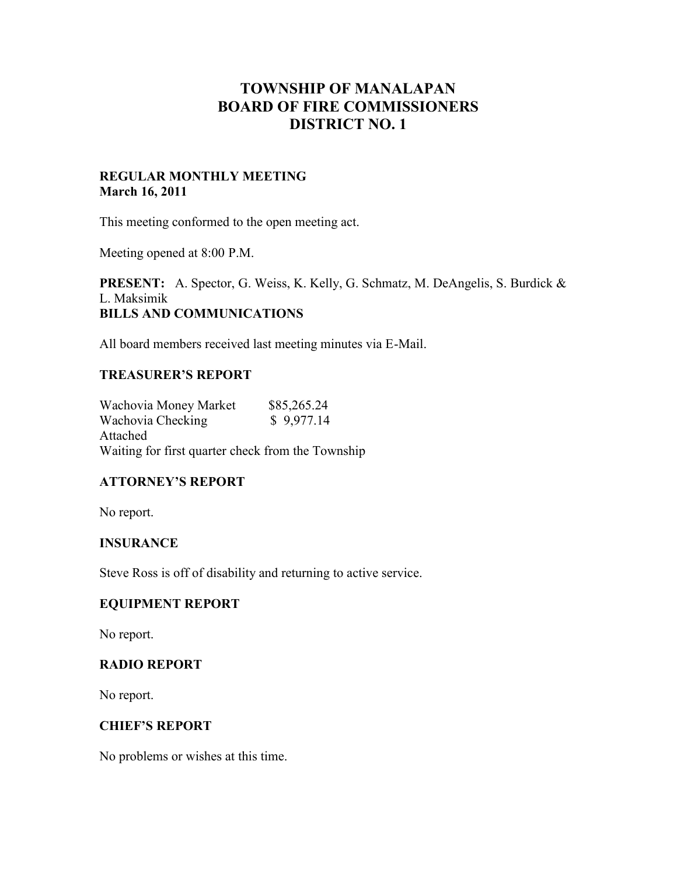# **TOWNSHIP OF MANALAPAN BOARD OF FIRE COMMISSIONERS DISTRICT NO. 1**

## **REGULAR MONTHLY MEETING March 16, 2011**

This meeting conformed to the open meeting act.

Meeting opened at 8:00 P.M.

**PRESENT:** A. Spector, G. Weiss, K. Kelly, G. Schmatz, M. DeAngelis, S. Burdick & L. Maksimik **BILLS AND COMMUNICATIONS**

All board members received last meeting minutes via E-Mail.

## **TREASURER'S REPORT**

Wachovia Money Market \$85,265.24<br>Wachovia Checking \$9,977.14 Wachovia Checking Attached Waiting for first quarter check from the Township

# **ATTORNEY'S REPORT**

No report.

# **INSURANCE**

Steve Ross is off of disability and returning to active service.

#### **EQUIPMENT REPORT**

No report.

# **RADIO REPORT**

No report.

#### **CHIEF'S REPORT**

No problems or wishes at this time.